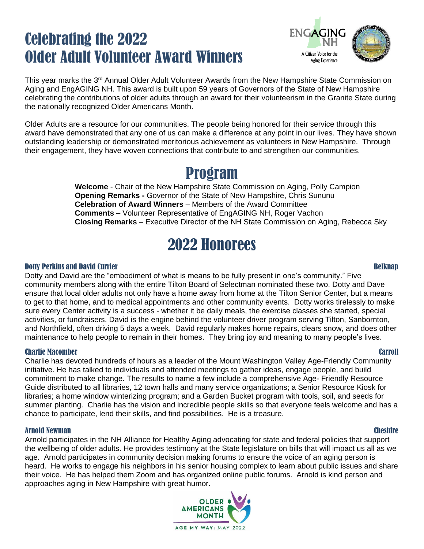# Celebrating the 2022 Older Adult Volunteer Award Winners

**ENGAGING** A Citizen Voice for the Aging Experience

This year marks the 3<sup>rd</sup> Annual Older Adult Volunteer Awards from the New Hampshire State Commission on Aging and EngAGING NH. This award is built upon 59 years of Governors of the State of New Hampshire celebrating the contributions of older adults through an award for their volunteerism in the Granite State during the nationally recognized Older Americans Month.

Older Adults are a resource for our communities. The people being honored for their service through this award have demonstrated that any one of us can make a difference at any point in our lives. They have shown outstanding leadership or demonstrated meritorious achievement as volunteers in New Hampshire. Through their engagement, they have woven connections that contribute to and strengthen our communities.

# Program

**Welcome** - Chair of the New Hampshire State Commission on Aging, Polly Campion **Opening Remarks -** Governor of the State of New Hampshire, Chris Sununu **Celebration of Award Winners** – Members of the Award Committee **Comments** – Volunteer Representative of EngAGING NH, Roger Vachon **Closing Remarks** – Executive Director of the NH State Commission on Aging, Rebecca Sky

# 2022 Honorees

## Dotty Perkins and David Currier Belknap Belknap Belknap Belknap Belknap Belknap Belknap Belknap Belknap Belknap

Dotty and David are the "embodiment of what is means to be fully present in one's community." Five community members along with the entire Tilton Board of Selectman nominated these two. Dotty and Dave ensure that local older adults not only have a home away from home at the Tilton Senior Center, but a means to get to that home, and to medical appointments and other community events. Dotty works tirelessly to make sure every Center activity is a success - whether it be daily meals, the exercise classes she started, special activities, or fundraisers. David is the engine behind the volunteer driver program serving Tilton, Sanbornton, and Northfield, often driving 5 days a week. David regularly makes home repairs, clears snow, and does other maintenance to help people to remain in their homes. They bring joy and meaning to many people's lives.

## Charlie Macomber Carroll

Charlie has devoted hundreds of hours as a leader of the Mount Washington Valley Age-Friendly Community initiative. He has talked to individuals and attended meetings to gather ideas, engage people, and build commitment to make change. The results to name a few include a comprehensive Age- Friendly Resource Guide distributed to all libraries, 12 town halls and many service organizations; a Senior Resource Kiosk for libraries; a home window winterizing program; and a Garden Bucket program with tools, soil, and seeds for summer planting. Charlie has the vision and incredible people skills so that everyone feels welcome and has a chance to participate, lend their skills, and find possibilities. He is a treasure.

## Arnold Newman Cheshire

Arnold participates in the NH Alliance for Healthy Aging advocating for state and federal policies that support the wellbeing of older adults. He provides testimony at the State legislature on bills that will impact us all as we age. Arnold participates in community decision making forums to ensure the voice of an aging person is heard. He works to engage his neighbors in his senior housing complex to learn about public issues and share their voice. He has helped them Zoom and has organized online public forums. Arnold is kind person and approaches aging in New Hampshire with great humor.

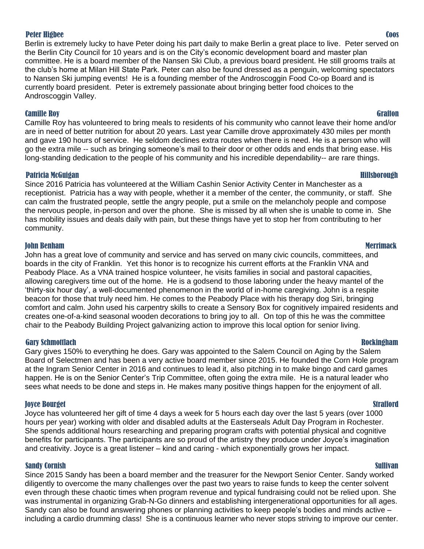### Peter Higbee Coos

Berlin is extremely lucky to have Peter doing his part daily to make Berlin a great place to live. Peter served on the Berlin City Council for 10 years and is on the City's economic development board and master plan committee. He is a board member of the Nansen Ski Club, a previous board president. He still grooms trails at the club's home at Milan Hill State Park. Peter can also be found dressed as a penguin, welcoming spectators to Nansen Ski jumping events! He is a founding member of the Androscoggin Food Co-op Board and is currently board president. Peter is extremely passionate about bringing better food choices to the Androscoggin Valley.

### Camille Roy Grafton

Camille Roy has volunteered to bring meals to residents of his community who cannot leave their home and/or are in need of better nutrition for about 20 years. Last year Camille drove approximately 430 miles per month and gave 190 hours of service. He seldom declines extra routes when there is need. He is a person who will go the extra mile -- such as bringing someone's mail to their door or other odds and ends that bring ease. His long-standing dedication to the people of his community and his incredible dependability-- are rare things.

## Patricia McGuigan Hillsborough

Since 2016 Patricia has volunteered at the William Cashin Senior Activity Center in Manchester as a receptionist. Patricia has a way with people, whether it a member of the center, the community, or staff. She can calm the frustrated people, settle the angry people, put a smile on the melancholy people and compose the nervous people, in-person and over the phone. She is missed by all when she is unable to come in. She has mobility issues and deals daily with pain, but these things have yet to stop her from contributing to her community.

### John Benham Merrimack

John has a great love of community and service and has served on many civic councils, committees, and boards in the city of Franklin. Yet this honor is to recognize his current efforts at the Franklin VNA and Peabody Place. As a VNA trained hospice volunteer, he visits families in social and pastoral capacities, allowing caregivers time out of the home. He is a godsend to those laboring under the heavy mantel of the 'thirty-six hour day', a well-documented phenomenon in the world of in-home caregiving. John is a respite beacon for those that truly need him. He comes to the Peabody Place with his therapy dog Siri, bringing comfort and calm. John used his carpentry skills to create a Sensory Box for cognitively impaired residents and creates one-of-a-kind seasonal wooden decorations to bring joy to all. On top of this he was the committee chair to the Peabody Building Project galvanizing action to improve this local option for senior living.

### Gary Schmottlach Rockingham

Gary gives 150% to everything he does. Gary was appointed to the Salem Council on Aging by the Salem Board of Selectmen and has been a very active board member since 2015. He founded the Corn Hole program at the Ingram Senior Center in 2016 and continues to lead it, also pitching in to make bingo and card games happen. He is on the Senior Center's Trip Committee, often going the extra mile. He is a natural leader who sees what needs to be done and steps in. He makes many positive things happen for the enjoyment of all.

### Joyce Bourget Strafford

Joyce has volunteered her gift of time 4 days a week for 5 hours each day over the last 5 years (over 1000 hours per year) working with older and disabled adults at the Easterseals Adult Day Program in Rochester. She spends additional hours researching and preparing program crafts with potential physical and cognitive benefits for participants. The participants are so proud of the artistry they produce under Joyce's imagination and creativity. Joyce is a great listener – kind and caring - which exponentially grows her impact.

## Sandy Cornish Sullivan Sullivan Sullivan Sullivan Sullivan Sullivan Sullivan Sullivan Sullivan Sullivan Sullivan

Since 2015 Sandy has been a board member and the treasurer for the Newport Senior Center. Sandy worked diligently to overcome the many challenges over the past two years to raise funds to keep the center solvent even through these chaotic times when program revenue and typical fundraising could not be relied upon. She was instrumental in organizing Grab-N-Go dinners and establishing intergenerational opportunities for all ages. Sandy can also be found answering phones or planning activities to keep people's bodies and minds active – including a cardio drumming class! She is a continuous learner who never stops striving to improve our center.